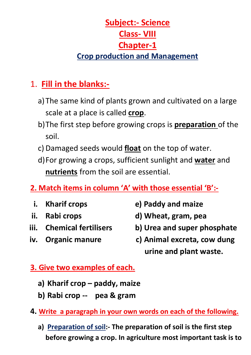# **Subject:- Science Class- VIII Chapter-1 Crop production and Management**

# 1. **Fill in the blanks:-**

- a)The same kind of plants grown and cultivated on a large scale at a place is called **crop**.
- b)The first step before growing crops is **preparation** of the soil.
- c) Damaged seeds would **float** on the top of water.
- d)For growing a crops, sufficient sunlight and **water** and **nutrients** from the soil are essential.
- **2. Match items in column 'A' with those essential 'B':-**
	-
- 
- 
- 
- **i. Kharif crops e) Paddy and maize**
- ii. Rabi crops d) Wheat, gram, pea
- iii. Chemical fertilisers b) Urea and super phosphate
- **iv. Organic manure c) Animal excreta, cow dung urine and plant waste.**

# **3. Give two examples of each.**

- **a) Kharif crop – paddy, maize**
- **b) Rabi crop -- pea & gram**
- **4. Write a paragraph in your own words on each of the following.**
	- **a) Preparation of soil:- The preparation of soil is the first step before growing a crop. In agriculture most important task is to**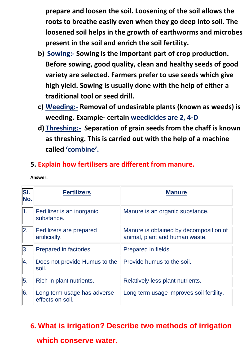**prepare and loosen the soil. Loosening of the soil allows the roots to breathe easily even when they go deep into soil. The loosened soil helps in the growth of earthworms and microbes present in the soil and enrich the soil fertility.**

- **b) Sowing:- Sowing is the important part of crop production. Before sowing, good quality, clean and healthy seeds of good variety are selected. Farmers prefer to use seeds which give high yield. Sowing is usually done with the help of either a traditional tool or seed drill.**
- **c) Weeding:- Removal of undesirable plants (known as weeds) is weeding. Example- certain weedicides are 2, 4-D**
- **d) Threshing:- Separation of grain seeds from the chaff is known as threshing. This is carried out with the help of a machine called 'combine'.**

### **5. Explain how fertilisers are different from manure.**

| <b>SI.</b><br>No. | <b>Fertilizers</b>                              | <b>Manure</b>                                                            |
|-------------------|-------------------------------------------------|--------------------------------------------------------------------------|
| $ 1\rangle$       | Fertilizer is an inorganic<br>substance.        | Manure is an organic substance.                                          |
| 2.                | Fertilizers are prepared<br>artificially.       | Manure is obtained by decomposition of<br>animal, plant and human waste. |
| 3.                | Prepared in factories.                          | Prepared in fields.                                                      |
| 4.                | Does not provide Humus to the<br>soil.          | Provide humus to the soil.                                               |
| 5.                | Rich in plant nutrients.                        | Relatively less plant nutrients.                                         |
| 6.                | Long term usage has adverse<br>effects on soil. | Long term usage improves soil fertility.                                 |

**Answer:**

## **6. What is irrigation? Describe two methods of irrigation**

#### **which conserve water.**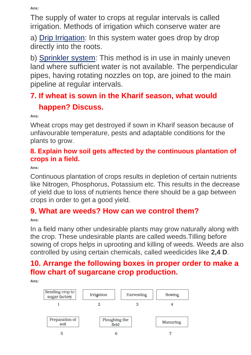**Ans:**

The supply of water to crops at regular intervals is called irrigation. Methods of irrigation which conserve water are

a) Drip Irrigation: In this system water goes drop by drop directly into the roots.

b) Sprinkler system: This method is in use in mainly uneven land where sufficient water is not available. The perpendicular pipes, having rotating nozzles on top, are joined to the main pipeline at regular intervals.

# **7. If wheat is sown in the Kharif season, what would happen? Discuss.**

**Ans:**

Wheat crops may get destroyed if sown in Kharif season because of unfavourable temperature, pests and adaptable conditions for the plants to grow.

#### **8. Explain how soil gets affected by the continuous plantation of crops in a field.**

**Ans:**

Continuous plantation of crops results in depletion of certain nutrients like Nitrogen, Phosphorus, Potassium etc. This results in the decrease of yield due to loss of nutrients hence there should be a gap between crops in order to get a good yield.

## **9. What are weeds? How can we control them?**

**Ans:**

In a field many other undesirable plants may grow naturally along with the crop. These undesirable plants are called weeds.Tilling before sowing of crops helps in uprooting and killing of weeds. Weeds are also controlled by using certain chemicals, called weedicides like **2,4 D**.

## **10. Arrange the following boxes in proper order to make a flow chart of sugarcane crop production.**

**Ans:**